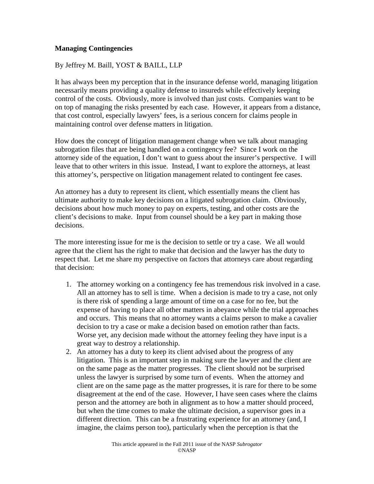## **Managing Contingencies**

By Jeffrey M. Baill, YOST & BAILL, LLP

It has always been my perception that in the insurance defense world, managing litigation necessarily means providing a quality defense to insureds while effectively keeping control of the costs. Obviously, more is involved than just costs. Companies want to be on top of managing the risks presented by each case. However, it appears from a distance, that cost control, especially lawyers' fees, is a serious concern for claims people in maintaining control over defense matters in litigation.

How does the concept of litigation management change when we talk about managing subrogation files that are being handled on a contingency fee? Since I work on the attorney side of the equation, I don't want to guess about the insurer's perspective. I will leave that to other writers in this issue. Instead, I want to explore the attorneys, at least this attorney's, perspective on litigation management related to contingent fee cases.

An attorney has a duty to represent its client, which essentially means the client has ultimate authority to make key decisions on a litigated subrogation claim. Obviously, decisions about how much money to pay on experts, testing, and other costs are the client's decisions to make. Input from counsel should be a key part in making those decisions.

The more interesting issue for me is the decision to settle or try a case. We all would agree that the client has the right to make that decision and the lawyer has the duty to respect that. Let me share my perspective on factors that attorneys care about regarding that decision:

- 1. The attorney working on a contingency fee has tremendous risk involved in a case. All an attorney has to sell is time. When a decision is made to try a case, not only is there risk of spending a large amount of time on a case for no fee, but the expense of having to place all other matters in abeyance while the trial approaches and occurs. This means that no attorney wants a claims person to make a cavalier decision to try a case or make a decision based on emotion rather than facts. Worse yet, any decision made without the attorney feeling they have input is a great way to destroy a relationship.
- 2. An attorney has a duty to keep its client advised about the progress of any litigation. This is an important step in making sure the lawyer and the client are on the same page as the matter progresses. The client should not be surprised unless the lawyer is surprised by some turn of events. When the attorney and client are on the same page as the matter progresses, it is rare for there to be some disagreement at the end of the case. However, I have seen cases where the claims person and the attorney are both in alignment as to how a matter should proceed, but when the time comes to make the ultimate decision, a supervisor goes in a different direction. This can be a frustrating experience for an attorney (and, I imagine, the claims person too), particularly when the perception is that the